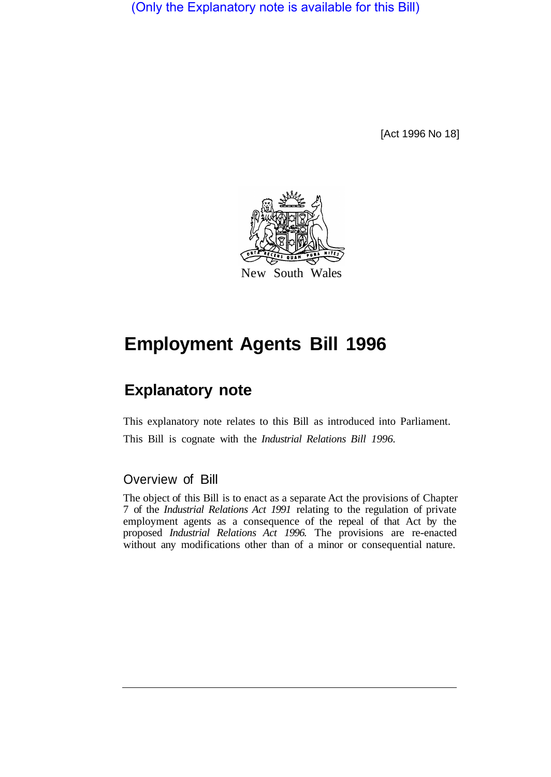(Only the Explanatory note is available for this Bill)

[Act 1996 No 18]



# **Employment Agents Bill 1996**

## **Explanatory note**

This explanatory note relates to this Bill as introduced into Parliament. This Bill is cognate with the *Industrial Relations Bill 1996.* 

#### Overview of Bill

The object of this Bill is to enact as a separate Act the provisions of Chapter 7 of the *Industrial Relations Act 1991* relating to the regulation of private employment agents as a consequence of the repeal of that Act by the proposed *Industrial Relations Act 1996.* The provisions are re-enacted without any modifications other than of a minor or consequential nature.